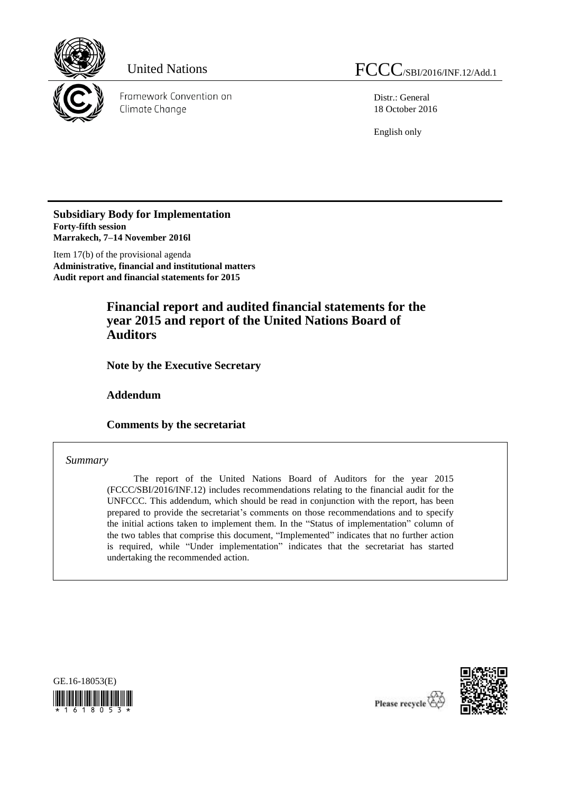

Framework Convention on Climate Change

Distr.: General 18 October 2016

English only

**Subsidiary Body for Implementation Forty-fifth session Marrakech, 7–14 November 2016l**

Item 17(b) of the provisional agenda **Administrative, financial and institutional matters Audit report and financial statements for 2015**

# **Financial report and audited financial statements for the year 2015 and report of the United Nations Board of Auditors**

**Note by the Executive Secretary**

**Addendum**

**Comments by the secretariat**

### *Summary*

The report of the United Nations Board of Auditors for the year 2015 (FCCC/SBI/2016/INF.12) includes recommendations relating to the financial audit for the UNFCCC. This addendum, which should be read in conjunction with the report, has been prepared to provide the secretariat's comments on those recommendations and to specify the initial actions taken to implement them. In the "Status of implementation" column of the two tables that comprise this document, "Implemented" indicates that no further action is required, while "Under implementation" indicates that the secretariat has started undertaking the recommended action.





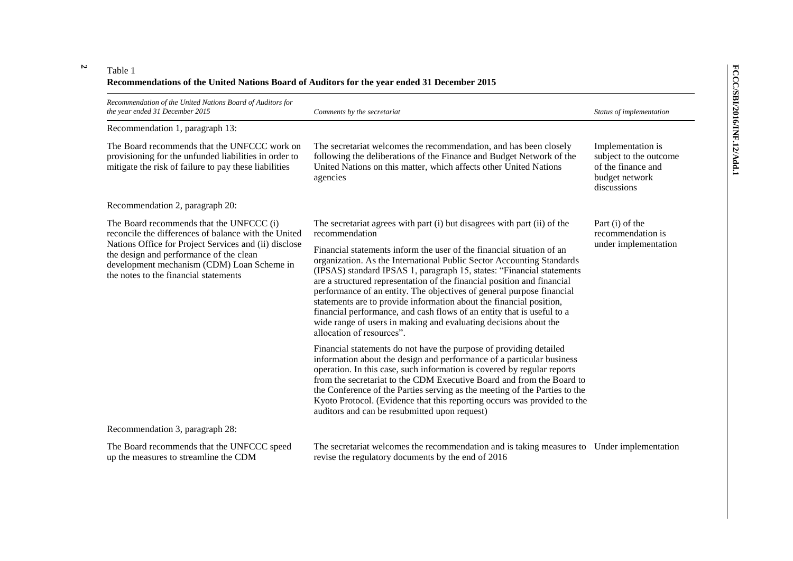#### **2** Table 1

## **Recommendations of the United Nations Board of Auditors for the year ended 31 December 2015**

| Recommendation of the United Nations Board of Auditors for<br>the year ended 31 December 2015                                                                                                                                                                                               | Comments by the secretariat                                                                                                                                                                                                                                                                                                                                                                                                                                                                                                                                                                                                   | Status of implementation                                                                           |
|---------------------------------------------------------------------------------------------------------------------------------------------------------------------------------------------------------------------------------------------------------------------------------------------|-------------------------------------------------------------------------------------------------------------------------------------------------------------------------------------------------------------------------------------------------------------------------------------------------------------------------------------------------------------------------------------------------------------------------------------------------------------------------------------------------------------------------------------------------------------------------------------------------------------------------------|----------------------------------------------------------------------------------------------------|
| Recommendation 1, paragraph 13:                                                                                                                                                                                                                                                             |                                                                                                                                                                                                                                                                                                                                                                                                                                                                                                                                                                                                                               |                                                                                                    |
| The Board recommends that the UNFCCC work on<br>provisioning for the unfunded liabilities in order to<br>mitigate the risk of failure to pay these liabilities                                                                                                                              | The secretariat welcomes the recommendation, and has been closely<br>following the deliberations of the Finance and Budget Network of the<br>United Nations on this matter, which affects other United Nations<br>agencies                                                                                                                                                                                                                                                                                                                                                                                                    | Implementation is<br>subject to the outcome<br>of the finance and<br>budget network<br>discussions |
| Recommendation 2, paragraph 20:                                                                                                                                                                                                                                                             |                                                                                                                                                                                                                                                                                                                                                                                                                                                                                                                                                                                                                               |                                                                                                    |
| The Board recommends that the UNFCCC (i)<br>reconcile the differences of balance with the United<br>Nations Office for Project Services and (ii) disclose<br>the design and performance of the clean<br>development mechanism (CDM) Loan Scheme in<br>the notes to the financial statements | The secretariat agrees with part (i) but disagrees with part (ii) of the<br>recommendation                                                                                                                                                                                                                                                                                                                                                                                                                                                                                                                                    | Part (i) of the<br>recommendation is<br>under implementation                                       |
|                                                                                                                                                                                                                                                                                             | Financial statements inform the user of the financial situation of an<br>organization. As the International Public Sector Accounting Standards<br>(IPSAS) standard IPSAS 1, paragraph 15, states: "Financial statements<br>are a structured representation of the financial position and financial<br>performance of an entity. The objectives of general purpose financial<br>statements are to provide information about the financial position,<br>financial performance, and cash flows of an entity that is useful to a<br>wide range of users in making and evaluating decisions about the<br>allocation of resources". |                                                                                                    |
|                                                                                                                                                                                                                                                                                             | Financial statements do not have the purpose of providing detailed<br>information about the design and performance of a particular business<br>operation. In this case, such information is covered by regular reports<br>from the secretariat to the CDM Executive Board and from the Board to<br>the Conference of the Parties serving as the meeting of the Parties to the<br>Kyoto Protocol. (Evidence that this reporting occurs was provided to the<br>auditors and can be resubmitted upon request)                                                                                                                    |                                                                                                    |
| Recommendation 3, paragraph 28:                                                                                                                                                                                                                                                             |                                                                                                                                                                                                                                                                                                                                                                                                                                                                                                                                                                                                                               |                                                                                                    |
| The Board recommends that the UNFCCC speed<br>up the measures to streamline the CDM                                                                                                                                                                                                         | The secretariat welcomes the recommendation and is taking measures to Under implementation<br>revise the regulatory documents by the end of 2016                                                                                                                                                                                                                                                                                                                                                                                                                                                                              |                                                                                                    |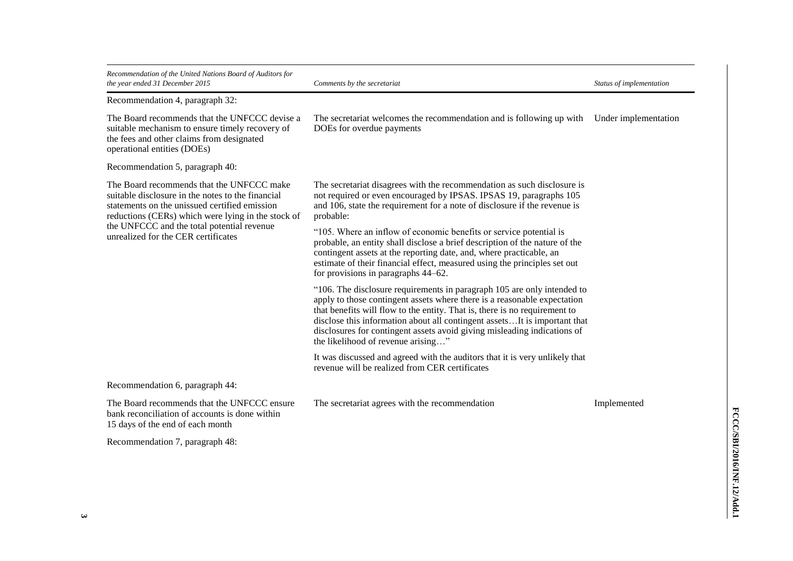| Recommendation of the United Nations Board of Auditors for<br>the year ended 31 December 2015                                                                                                                                                                                              | Comments by the secretariat                                                                                                                                                                                                                                                                                                                                                                                                      | Status of implementation |
|--------------------------------------------------------------------------------------------------------------------------------------------------------------------------------------------------------------------------------------------------------------------------------------------|----------------------------------------------------------------------------------------------------------------------------------------------------------------------------------------------------------------------------------------------------------------------------------------------------------------------------------------------------------------------------------------------------------------------------------|--------------------------|
| Recommendation 4, paragraph 32:                                                                                                                                                                                                                                                            |                                                                                                                                                                                                                                                                                                                                                                                                                                  |                          |
| The Board recommends that the UNFCCC devise a<br>suitable mechanism to ensure timely recovery of<br>the fees and other claims from designated<br>operational entities (DOEs)                                                                                                               | The secretariat welcomes the recommendation and is following up with<br>DOEs for overdue payments                                                                                                                                                                                                                                                                                                                                | Under implementation     |
| Recommendation 5, paragraph 40:                                                                                                                                                                                                                                                            |                                                                                                                                                                                                                                                                                                                                                                                                                                  |                          |
| The Board recommends that the UNFCCC make<br>suitable disclosure in the notes to the financial<br>statements on the unissued certified emission<br>reductions (CERs) which were lying in the stock of<br>the UNFCCC and the total potential revenue<br>unrealized for the CER certificates | The secretariat disagrees with the recommendation as such disclosure is<br>not required or even encouraged by IPSAS. IPSAS 19, paragraphs 105<br>and 106, state the requirement for a note of disclosure if the revenue is<br>probable:                                                                                                                                                                                          |                          |
|                                                                                                                                                                                                                                                                                            | "105. Where an inflow of economic benefits or service potential is<br>probable, an entity shall disclose a brief description of the nature of the<br>contingent assets at the reporting date, and, where practicable, an<br>estimate of their financial effect, measured using the principles set out<br>for provisions in paragraphs 44–62.                                                                                     |                          |
|                                                                                                                                                                                                                                                                                            | "106. The disclosure requirements in paragraph 105 are only intended to<br>apply to those contingent assets where there is a reasonable expectation<br>that benefits will flow to the entity. That is, there is no requirement to<br>disclose this information about all contingent assetsIt is important that<br>disclosures for contingent assets avoid giving misleading indications of<br>the likelihood of revenue arising" |                          |
|                                                                                                                                                                                                                                                                                            | It was discussed and agreed with the auditors that it is very unlikely that<br>revenue will be realized from CER certificates                                                                                                                                                                                                                                                                                                    |                          |
| Recommendation 6, paragraph 44:                                                                                                                                                                                                                                                            |                                                                                                                                                                                                                                                                                                                                                                                                                                  |                          |
| The Board recommends that the UNFCCC ensure<br>bank reconciliation of accounts is done within<br>15 days of the end of each month                                                                                                                                                          | The secretariat agrees with the recommendation                                                                                                                                                                                                                                                                                                                                                                                   | Implemented              |
| Recommendation 7, paragraph 48:                                                                                                                                                                                                                                                            |                                                                                                                                                                                                                                                                                                                                                                                                                                  |                          |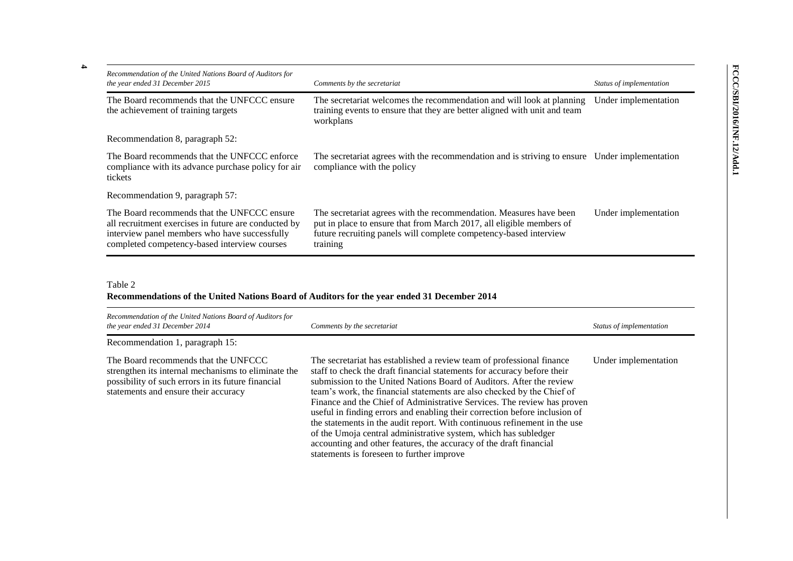| Recommendation of the United Nations Board of Auditors for<br>the year ended 31 December 2015                                                                                                        | Comments by the secretariat                                                                                                                                                                                                 | Status of implementation |
|------------------------------------------------------------------------------------------------------------------------------------------------------------------------------------------------------|-----------------------------------------------------------------------------------------------------------------------------------------------------------------------------------------------------------------------------|--------------------------|
| The Board recommends that the UNFCCC ensure<br>the achievement of training targets                                                                                                                   | The secretariat welcomes the recommendation and will look at planning<br>training events to ensure that they are better aligned with unit and team<br>workplans                                                             | Under implementation     |
| Recommendation 8, paragraph 52:                                                                                                                                                                      |                                                                                                                                                                                                                             |                          |
| The Board recommends that the UNFCCC enforce<br>compliance with its advance purchase policy for air<br>tickets                                                                                       | The secretariat agrees with the recommendation and is striving to ensure Under implementation<br>compliance with the policy                                                                                                 |                          |
| Recommendation 9, paragraph 57:                                                                                                                                                                      |                                                                                                                                                                                                                             |                          |
| The Board recommends that the UNFCCC ensure<br>all recruitment exercises in future are conducted by<br>interview panel members who have successfully<br>completed competency-based interview courses | The secretariat agrees with the recommendation. Measures have been<br>put in place to ensure that from March 2017, all eligible members of<br>future recruiting panels will complete competency-based interview<br>training | Under implementation     |

Table 2

### **Recommendations of the United Nations Board of Auditors for the year ended 31 December 2014**

| Recommendation of the United Nations Board of Auditors for<br>the year ended 31 December 2014                                                                                             | Comments by the secretariat                                                                                                                                                                                                                                                                                                                                                                                                                                                                                                                                                                                                                                                                                                    | Status of implementation |
|-------------------------------------------------------------------------------------------------------------------------------------------------------------------------------------------|--------------------------------------------------------------------------------------------------------------------------------------------------------------------------------------------------------------------------------------------------------------------------------------------------------------------------------------------------------------------------------------------------------------------------------------------------------------------------------------------------------------------------------------------------------------------------------------------------------------------------------------------------------------------------------------------------------------------------------|--------------------------|
| Recommendation 1, paragraph 15:                                                                                                                                                           |                                                                                                                                                                                                                                                                                                                                                                                                                                                                                                                                                                                                                                                                                                                                |                          |
| The Board recommends that the UNFCCC<br>strengthen its internal mechanisms to eliminate the<br>possibility of such errors in its future financial<br>statements and ensure their accuracy | The secretariat has established a review team of professional finance<br>staff to check the draft financial statements for accuracy before their<br>submission to the United Nations Board of Auditors. After the review<br>team's work, the financial statements are also checked by the Chief of<br>Finance and the Chief of Administrative Services. The review has proven<br>useful in finding errors and enabling their correction before inclusion of<br>the statements in the audit report. With continuous refinement in the use<br>of the Umoja central administrative system, which has subledger<br>accounting and other features, the accuracy of the draft financial<br>statements is foreseen to further improve | Under implementation     |